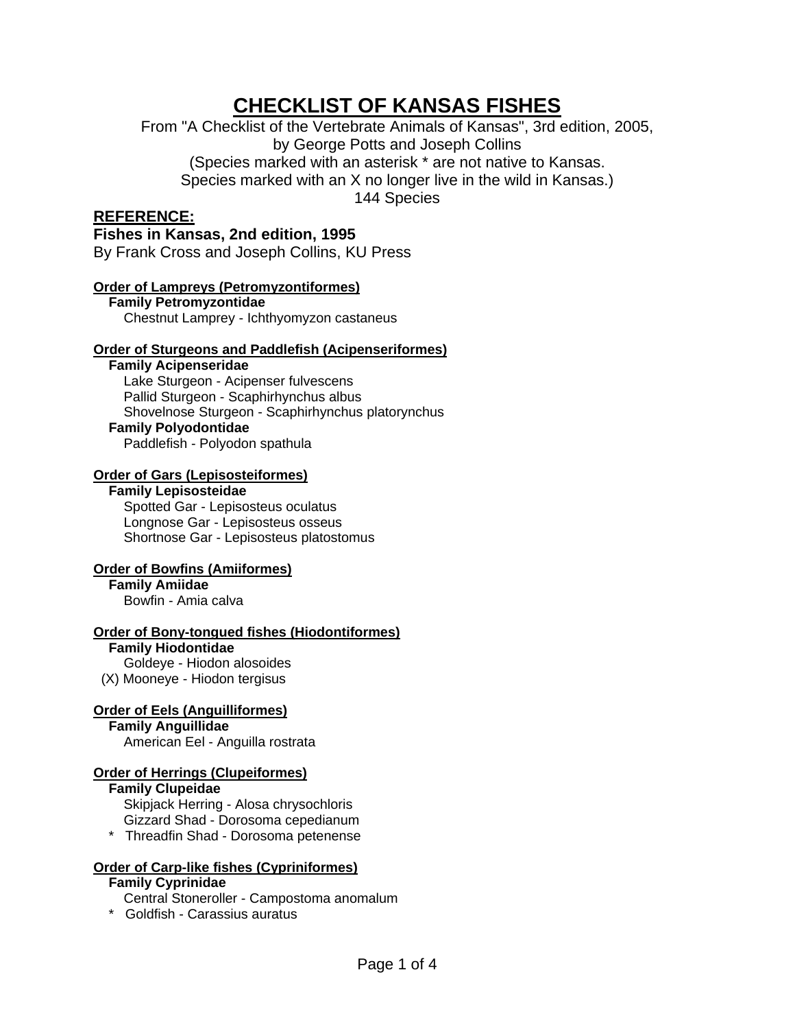# **CHECKLIST OF KANSAS FISHES**

From "A Checklist of the Vertebrate Animals of Kansas", 3rd edition, 2005, by George Potts and Joseph Collins (Species marked with an asterisk \* are not native to Kansas.

Species marked with an X no longer live in the wild in Kansas.)

144 Species

# **REFERENCE:**

**Fishes in Kansas, 2nd edition, 1995**  By Frank Cross and Joseph Collins, KU Press

# **Order of Lampreys (Petromyzontiformes)**

 **Family Petromyzontidae**  Chestnut Lamprey - Ichthyomyzon castaneus

# **Order of Sturgeons and Paddlefish (Acipenseriformes)**

 **Family Acipenseridae**  Lake Sturgeon - Acipenser fulvescens Pallid Sturgeon - Scaphirhynchus albus Shovelnose Sturgeon - Scaphirhynchus platorynchus

# **Family Polyodontidae**

Paddlefish - Polyodon spathula

# **Order of Gars (Lepisosteiformes)**

## **Family Lepisosteidae**

 Spotted Gar - Lepisosteus oculatus Longnose Gar - Lepisosteus osseus Shortnose Gar - Lepisosteus platostomus

# **Order of Bowfins (Amiiformes)**

 **Family Amiidae**  Bowfin - Amia calva

# **Order of Bony-tongued fishes (Hiodontiformes)**

 **Family Hiodontidae** 

 Goldeye - Hiodon alosoides (X) Mooneye - Hiodon tergisus

# **Order of Eels (Anguilliformes)**

 **Family Anguillidae** 

American Eel - Anguilla rostrata

# **Order of Herrings (Clupeiformes)**

 **Family Clupeidae**  Skipjack Herring - Alosa chrysochloris Gizzard Shad - Dorosoma cepedianum \* Threadfin Shad - Dorosoma petenense

# **Order of Carp-like fishes (Cypriniformes)**

# **Family Cyprinidae**

- Central Stoneroller Campostoma anomalum
- \* Goldfish Carassius auratus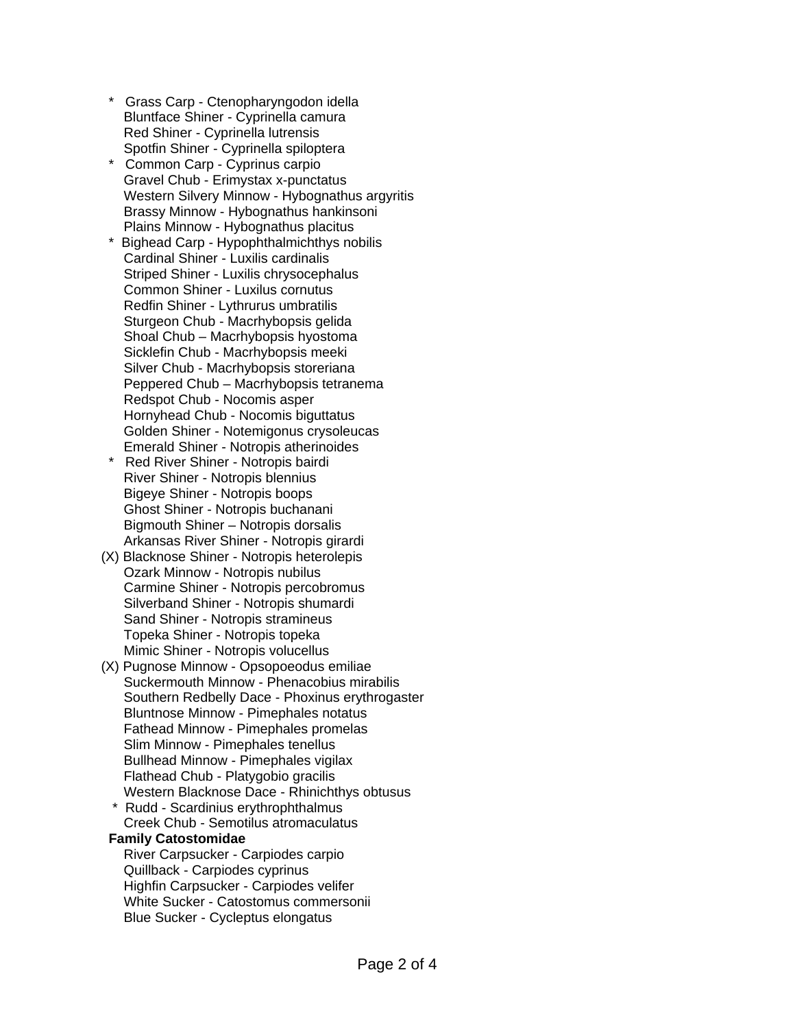- Grass Carp Ctenopharyngodon idella Bluntface Shiner - Cyprinella camura Red Shiner - Cyprinella lutrensis Spotfin Shiner - Cyprinella spiloptera
- Common Carp Cyprinus carpio Gravel Chub - Erimystax x-punctatus Western Silvery Minnow - Hybognathus argyritis Brassy Minnow - Hybognathus hankinsoni Plains Minnow - Hybognathus placitus
- Bighead Carp Hypophthalmichthys nobilis Cardinal Shiner - Luxilis cardinalis Striped Shiner - Luxilis chrysocephalus Common Shiner - Luxilus cornutus Redfin Shiner - Lythrurus umbratilis Sturgeon Chub - Macrhybopsis gelida Shoal Chub – Macrhybopsis hyostoma Sicklefin Chub - Macrhybopsis meeki Silver Chub - Macrhybopsis storeriana Peppered Chub – Macrhybopsis tetranema Redspot Chub - Nocomis asper Hornyhead Chub - Nocomis biguttatus Golden Shiner - Notemigonus crysoleucas Emerald Shiner - Notropis atherinoides
- Red River Shiner Notropis bairdi River Shiner - Notropis blennius Bigeye Shiner - Notropis boops Ghost Shiner - Notropis buchanani Bigmouth Shiner – Notropis dorsalis Arkansas River Shiner - Notropis girardi
- (X) Blacknose Shiner Notropis heterolepis Ozark Minnow - Notropis nubilus Carmine Shiner - Notropis percobromus Silverband Shiner - Notropis shumardi Sand Shiner - Notropis stramineus Topeka Shiner - Notropis topeka Mimic Shiner - Notropis volucellus
- (X) Pugnose Minnow Opsopoeodus emiliae Suckermouth Minnow - Phenacobius mirabilis Southern Redbelly Dace - Phoxinus erythrogaster Bluntnose Minnow - Pimephales notatus Fathead Minnow - Pimephales promelas Slim Minnow - Pimephales tenellus Bullhead Minnow - Pimephales vigilax Flathead Chub - Platygobio gracilis Western Blacknose Dace - Rhinichthys obtusus
	- Rudd Scardinius erythrophthalmus Creek Chub - Semotilus atromaculatus

#### **Family Catostomidae**

 River Carpsucker - Carpiodes carpio Quillback - Carpiodes cyprinus Highfin Carpsucker - Carpiodes velifer White Sucker - Catostomus commersonii Blue Sucker - Cycleptus elongatus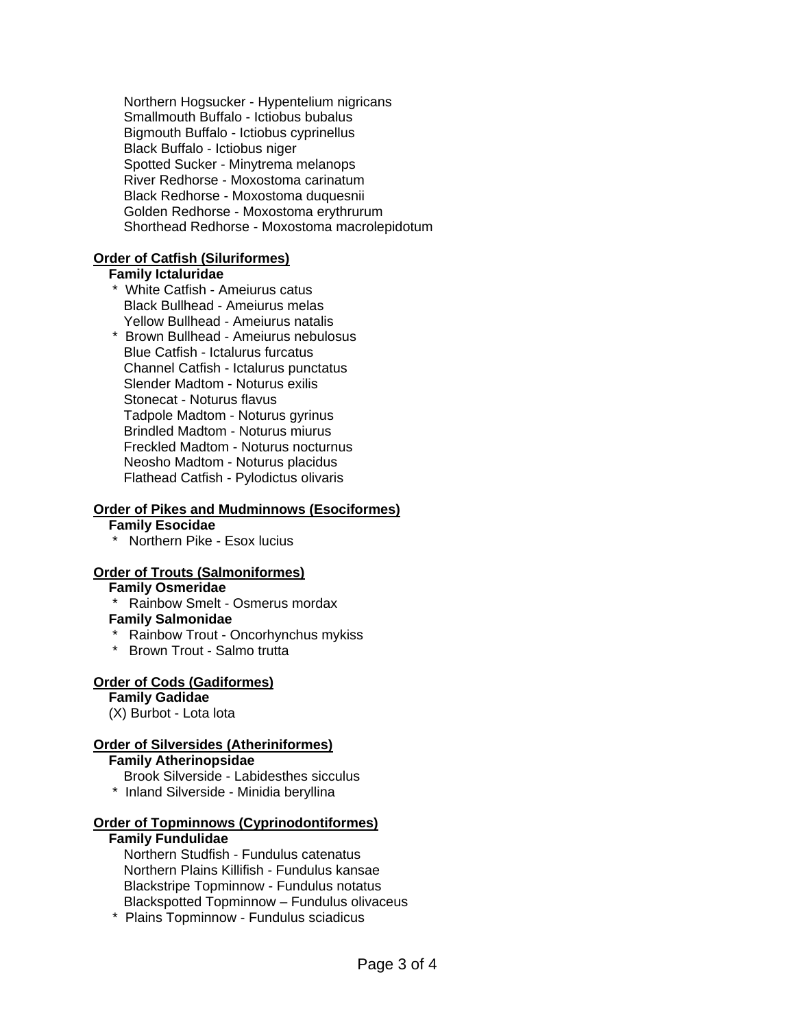Northern Hogsucker - Hypentelium nigricans Smallmouth Buffalo - Ictiobus bubalus Bigmouth Buffalo - Ictiobus cyprinellus Black Buffalo - Ictiobus niger Spotted Sucker - Minytrema melanops River Redhorse - Moxostoma carinatum Black Redhorse - Moxostoma duquesnii Golden Redhorse - Moxostoma erythrurum Shorthead Redhorse - Moxostoma macrolepidotum

## **Order of Catfish (Siluriformes)**

#### **Family Ictaluridae**

- \* White Catfish Ameiurus catus Black Bullhead - Ameiurus melas Yellow Bullhead - Ameiurus natalis
- \* Brown Bullhead Ameiurus nebulosus Blue Catfish - Ictalurus furcatus Channel Catfish - Ictalurus punctatus Slender Madtom - Noturus exilis Stonecat - Noturus flavus Tadpole Madtom - Noturus gyrinus Brindled Madtom - Noturus miurus Freckled Madtom - Noturus nocturnus Neosho Madtom - Noturus placidus Flathead Catfish - Pylodictus olivaris

## **Order of Pikes and Mudminnows (Esociformes)**

#### **Family Esocidae**

\* Northern Pike - Esox lucius

#### **Order of Trouts (Salmoniformes)**

# **Family Osmeridae**

\* Rainbow Smelt - Osmerus mordax

#### **Family Salmonidae**

- \* Rainbow Trout Oncorhynchus mykiss
- \* Brown Trout Salmo trutta

# **Order of Cods (Gadiformes)**

 **Family Gadidae** 

# (X) Burbot - Lota lota

# **Order of Silversides (Atheriniformes)**

## **Family Atherinopsidae**

- Brook Silverside Labidesthes sicculus
- \* Inland Silverside Minidia beryllina

#### **Order of Topminnows (Cyprinodontiformes)**

#### **Family Fundulidae**

 Northern Studfish - Fundulus catenatus Northern Plains Killifish - Fundulus kansae Blackstripe Topminnow - Fundulus notatus Blackspotted Topminnow – Fundulus olivaceus

\* Plains Topminnow - Fundulus sciadicus